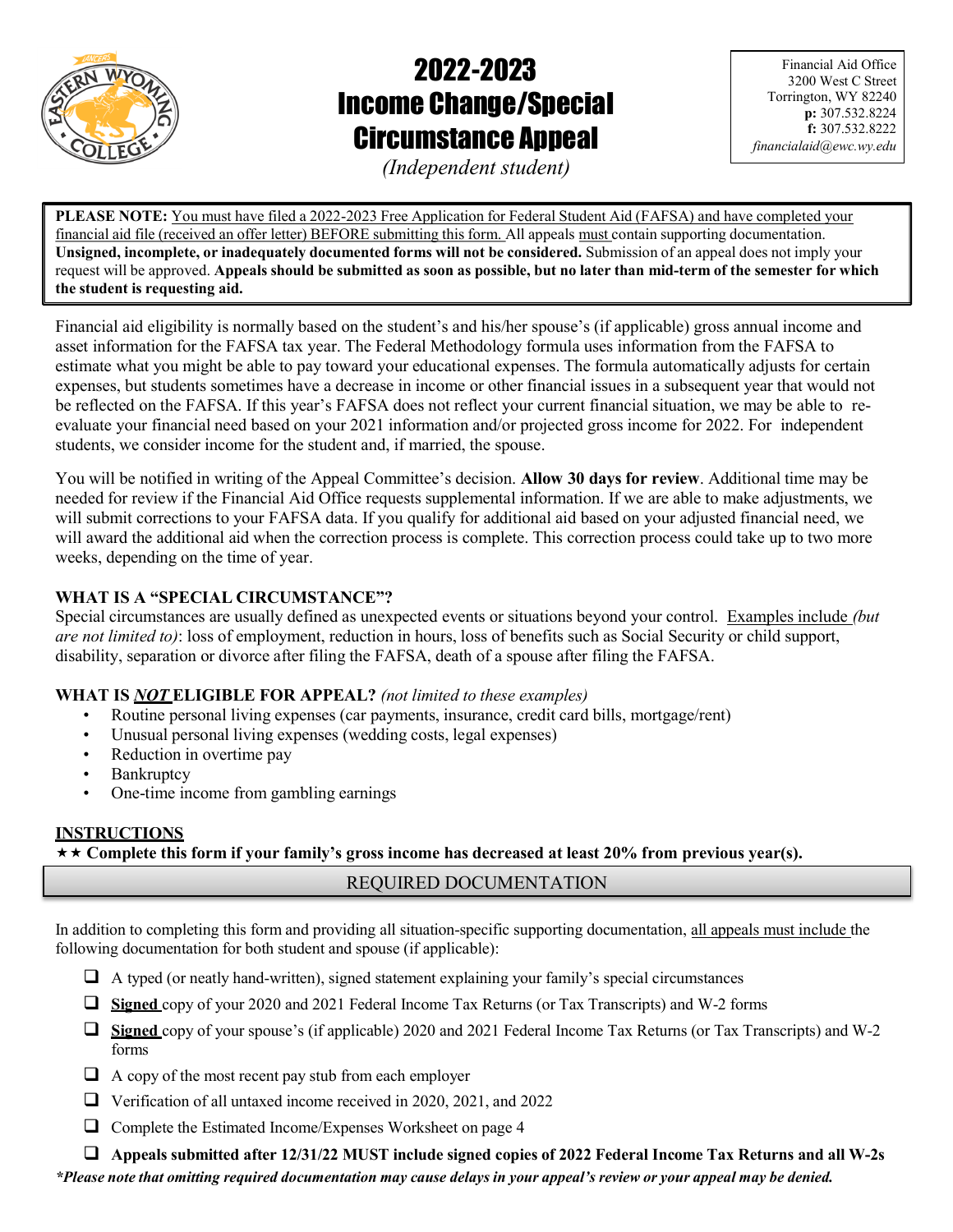

# 2022-2023 Income Change/Special Circumstance Appeal

Financial Aid Office 3200 West C Street Torrington, WY 82240 p: 307.532.8224 f: 307.532.8222 financialaid@ewc.wy.edu

(Independent student)

PLEASE NOTE: You must have filed a 2022-2023 Free Application for Federal Student Aid (FAFSA) and have completed your financial aid file (received an offer letter) BEFORE submitting this form. All appeals must contain supporting documentation. Unsigned, incomplete, or inadequately documented forms will not be considered. Submission of an appeal does not imply your request will be approved. Appeals should be submitted as soon as possible, but no later than mid-term of the semester for which the student is requesting aid.

Financial aid eligibility is normally based on the student's and his/her spouse's (if applicable) gross annual income and asset information for the FAFSA tax year. The Federal Methodology formula uses information from the FAFSA to estimate what you might be able to pay toward your educational expenses. The formula automatically adjusts for certain expenses, but students sometimes have a decrease in income or other financial issues in a subsequent year that would not be reflected on the FAFSA. If this year's FAFSA does not reflect your current financial situation, we may be able to reevaluate your financial need based on your 2021 information and/or projected gross income for 2022. For independent students, we consider income for the student and, if married, the spouse.

You will be notified in writing of the Appeal Committee's decision. Allow 30 days for review. Additional time may be needed for review if the Financial Aid Office requests supplemental information. If we are able to make adjustments, we will submit corrections to your FAFSA data. If you qualify for additional aid based on your adjusted financial need, we will award the additional aid when the correction process is complete. This correction process could take up to two more weeks, depending on the time of year.

# WHAT IS A "SPECIAL CIRCUMSTANCE"?

Special circumstances are usually defined as unexpected events or situations beyond your control. Examples include (but are not limited to): loss of employment, reduction in hours, loss of benefits such as Social Security or child support, disability, separation or divorce after filing the FAFSA, death of a spouse after filing the FAFSA.

# WHAT IS **NOT ELIGIBLE FOR APPEAL?** (not limited to these examples)

- Routine personal living expenses (car payments, insurance, credit card bills, mortgage/rent)
- Unusual personal living expenses (wedding costs, legal expenses)
- Reduction in overtime pay
- **Bankruptcy**
- One-time income from gambling earnings

# **INSTRUCTIONS**

 $\star \star$  Complete this form if your family's gross income has decreased at least 20% from previous year(s).

# REQUIRED DOCUMENTATION

In addition to completing this form and providing all situation-specific supporting documentation, all appeals must include the following documentation for both student and spouse (if applicable):

- $\Box$  A typed (or neatly hand-written), signed statement explaining your family's special circumstances
- Signed copy of your 2020 and 2021 Federal Income Tax Returns (or Tax Transcripts) and W-2 forms
- $\Box$  Signed copy of your spouse's (if applicable) 2020 and 2021 Federal Income Tax Returns (or Tax Transcripts) and W-2 forms
- $\Box$  A copy of the most recent pay stub from each employer
- Verification of all untaxed income received in 2020, 2021, and 2022
- Complete the Estimated Income/Expenses Worksheet on page 4

 $\Box$  Appeals submitted after 12/31/22 MUST include signed copies of 2022 Federal Income Tax Returns and all W-2s

\*Please note that omitting required documentation may cause delays in your appeal's review or your appeal may be denied.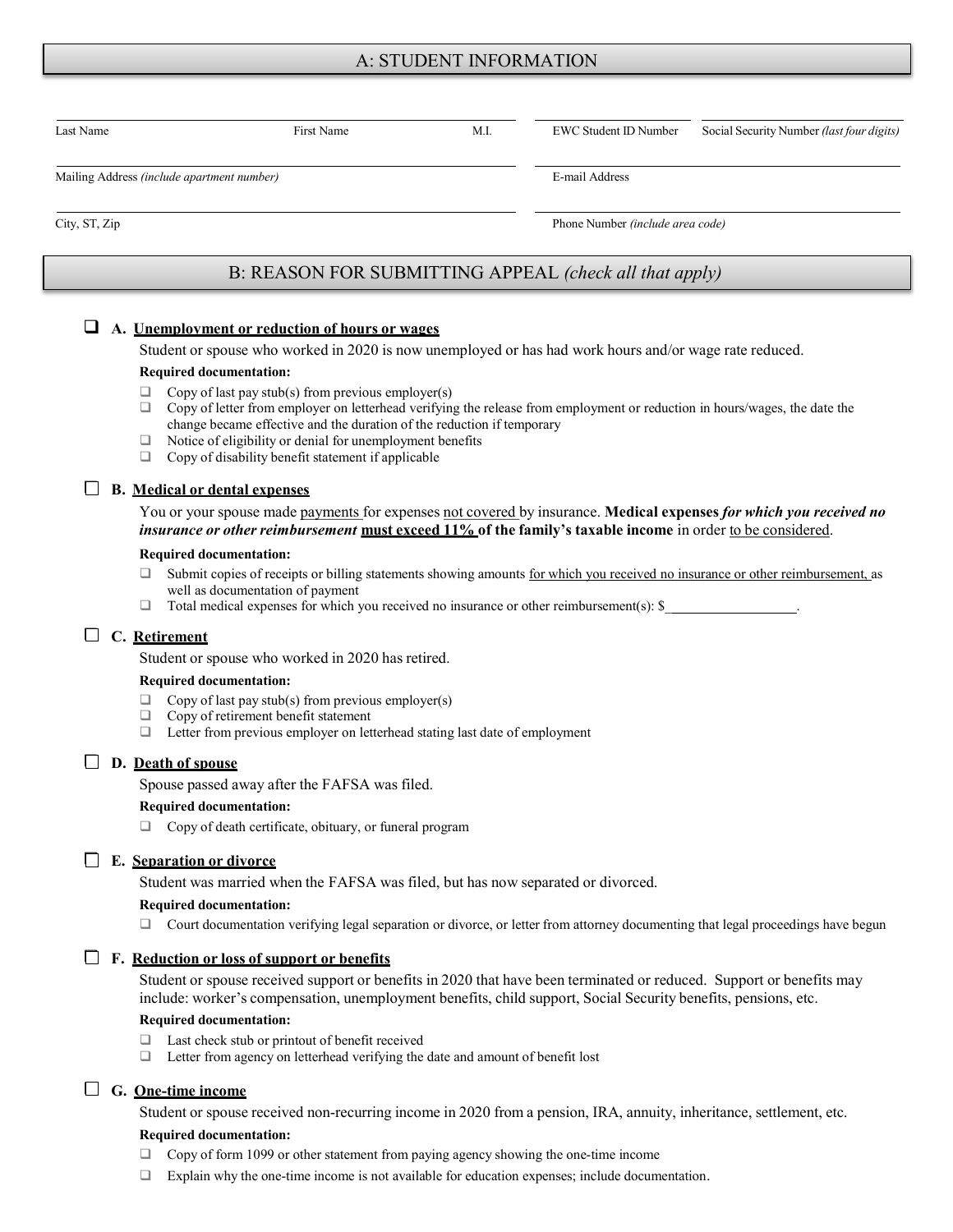## A: STUDENT INFORMATION

| Last Name                                  | First Name                                             | M.I. | EWC Student ID Number            | Social Security Number (last four digits) |  |
|--------------------------------------------|--------------------------------------------------------|------|----------------------------------|-------------------------------------------|--|
| Mailing Address (include apartment number) |                                                        |      | E-mail Address                   |                                           |  |
| City, ST, Zip                              |                                                        |      | Phone Number (include area code) |                                           |  |
|                                            | B: REASON FOR SUBMITTING APPEAL (check all that apply) |      |                                  |                                           |  |

## A. Unemployment or reduction of hours or wages

Student or spouse who worked in 2020 is now unemployed or has had work hours and/or wage rate reduced.

#### Required documentation:

- $\Box$  Copy of last pay stub(s) from previous employer(s)
- $\Box$  Copy of letter from employer on letterhead verifying the release from employment or reduction in hours/wages, the date the change became effective and the duration of the reduction if temporary
- $\Box$  Notice of eligibility or denial for unemployment benefits
- $\Box$  Copy of disability benefit statement if applicable

## $\Box$  B. Medical or dental expenses

You or your spouse made payments for expenses not covered by insurance. Medical expenses for which you received no insurance or other reimbursement must exceed 11% of the family's taxable income in order to be considered.

#### Required documentation:

- □ Submit copies of receipts or billing statements showing amounts for which you received no insurance or other reimbursement, as well as documentation of payment
- $\Box$  Total medical expenses for which you received no insurance or other reimbursement(s):  $\$\_$

## C. Retirement

Student or spouse who worked in 2020 has retired.

#### Required documentation:

- $\Box$  Copy of last pay stub(s) from previous employer(s)
- Copy of retirement benefit statement
- □ Letter from previous employer on letterhead stating last date of employment

## $\Box$  D. <u>Death of spouse</u>

Spouse passed away after the FAFSA was filed.

#### Required documentation:

Copy of death certificate, obituary, or funeral program

#### $\Box$  E. Separation or divorce

Student was married when the FAFSA was filed, but has now separated or divorced.

#### Required documentation:

Court documentation verifying legal separation or divorce, or letter from attorney documenting that legal proceedings have begun

### $\Box$  F. Reduction or loss of support or benefits

Student or spouse received support or benefits in 2020 that have been terminated or reduced. Support or benefits may include: worker's compensation, unemployment benefits, child support, Social Security benefits, pensions, etc.

#### Required documentation:

- $\Box$  Last check stub or printout of benefit received  $\Box$  Letter from agency on letterhead verifying the
- Letter from agency on letterhead verifying the date and amount of benefit lost

## G. One-time income

Student or spouse received non-recurring income in 2020 from a pension, IRA, annuity, inheritance, settlement, etc.

#### Required documentation:

- Copy of form 1099 or other statement from paying agency showing the one-time income
- $\Box$  Explain why the one-time income is not available for education expenses; include documentation.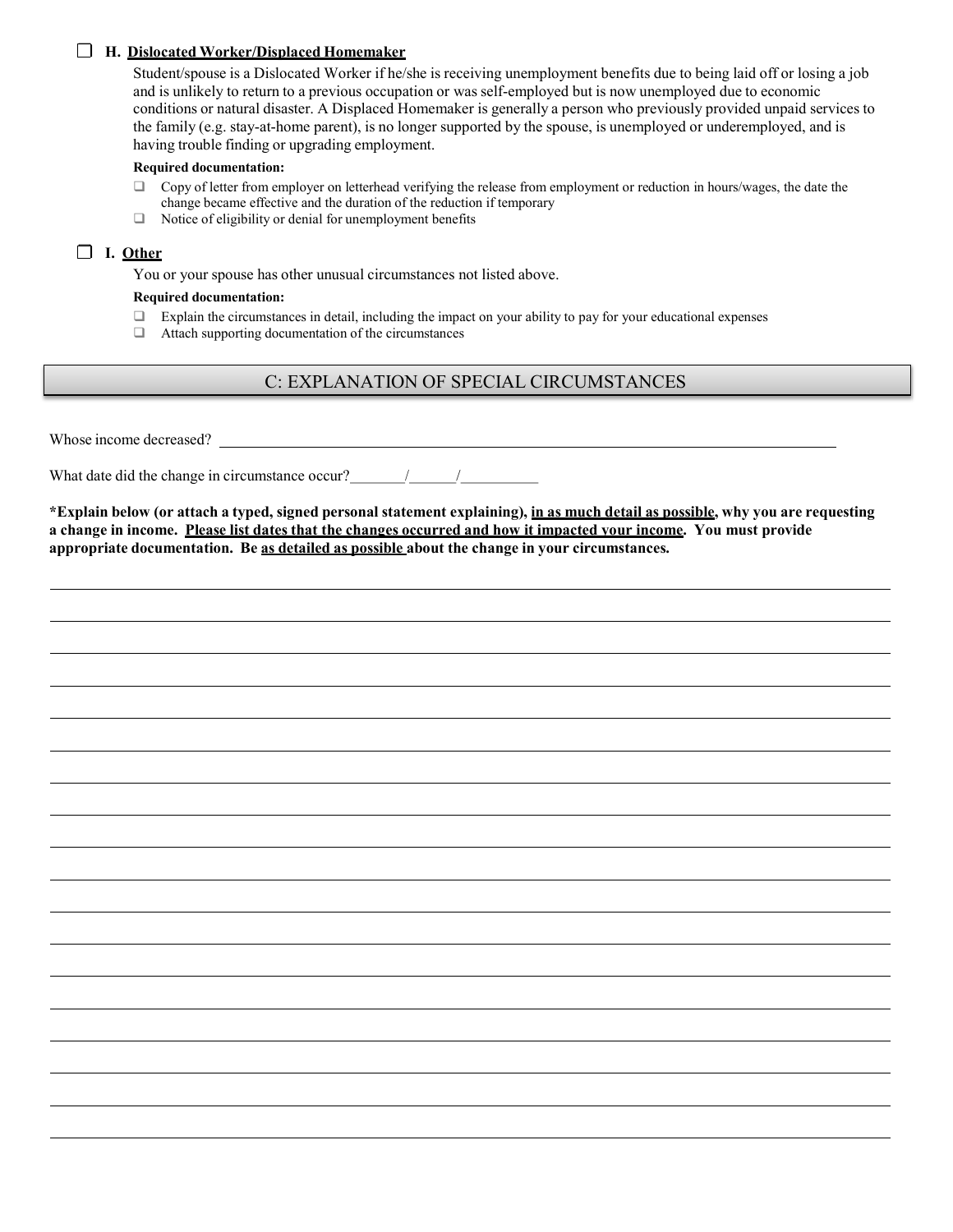## H. Dislocated Worker/Displaced Homemaker

Student/spouse is a Dislocated Worker if he/she is receiving unemployment benefits due to being laid off or losing a job and is unlikely to return to a previous occupation or was self-employed but is now unemployed due to economic conditions or natural disaster. A Displaced Homemaker is generally a person who previously provided unpaid services to the family (e.g. stay-at-home parent), is no longer supported by the spouse, is unemployed or underemployed, and is having trouble finding or upgrading employment.

#### Required documentation:

- $\Box$  Copy of letter from employer on letterhead verifying the release from employment or reduction in hours/wages, the date the change became effective and the duration of the reduction if temporary
- $\Box$  Notice of eligibility or denial for unemployment benefits

## $\Box$  I. Other

You or your spouse has other unusual circumstances not listed above.

## Required documentation:

- $\Box$  Explain the circumstances in detail, including the impact on your ability to pay for your educational expenses
- Attach supporting documentation of the circumstances

# C: EXPLANATION OF SPECIAL CIRCUMSTANCES

Whose income decreased?

What date did the change in circumstance occur?  $\frac{1}{2}$  /

\*Explain below (or attach a typed, signed personal statement explaining), in as much detail as possible, why you are requesting a change in income. Please list dates that the changes occurred and how it impacted your income. You must provide appropriate documentation. Be as detailed as possible about the change in your circumstances.